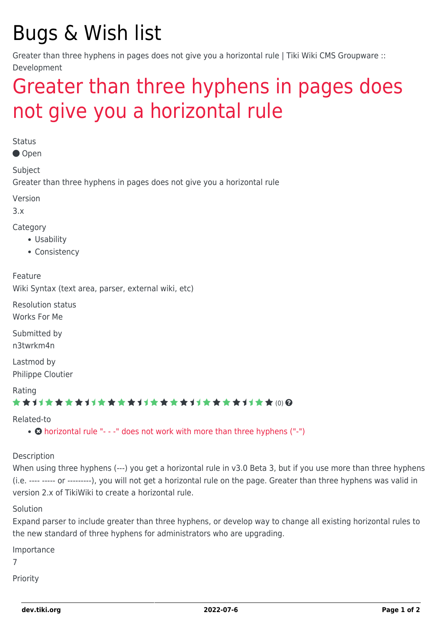## Bugs & Wish list

Greater than three hyphens in pages does not give you a horizontal rule | Tiki Wiki CMS Groupware :: Development

## [Greater than three hyphens in pages does](https://dev.tiki.org/item2418-Greater-than-three-hyphens-in-pages-does-not-give-you-a-horizontal-rule) [not give you a horizontal rule](https://dev.tiki.org/item2418-Greater-than-three-hyphens-in-pages-does-not-give-you-a-horizontal-rule)

**Status** 

Open

Subject

Greater than three hyphens in pages does not give you a horizontal rule

Version

3.x

Category

- Usability
- Consistency

Feature

Wiki Syntax (text area, parser, external wiki, etc)

Resolution status Works For Me

Submitted by n3twrkm4n

Lastmod by Philippe Cloutier

Rating

#### \*\*\*\*\*\*\*\*\*\*\*\*\*\*\*\*\*\*\*\*\*\*\*\*\*\*\*\*\*\*

Related-to

• **O** [horizontal rule "- - -" does not work with more than three hyphens \("-"\)](https://dev.tiki.org/item2417-horizontal-rule-does-not-work-with-more-than-three-hyphens)

Description

When using three hyphens (---) you get a horizontal rule in v3.0 Beta 3, but if you use more than three hyphens (i.e. ---- ----- or ---------), you will not get a horizontal rule on the page. Greater than three hyphens was valid in version 2.x of TikiWiki to create a horizontal rule.

Solution

Expand parser to include greater than three hyphens, or develop way to change all existing horizontal rules to the new standard of three hyphens for administrators who are upgrading.

Importance

7

Priority